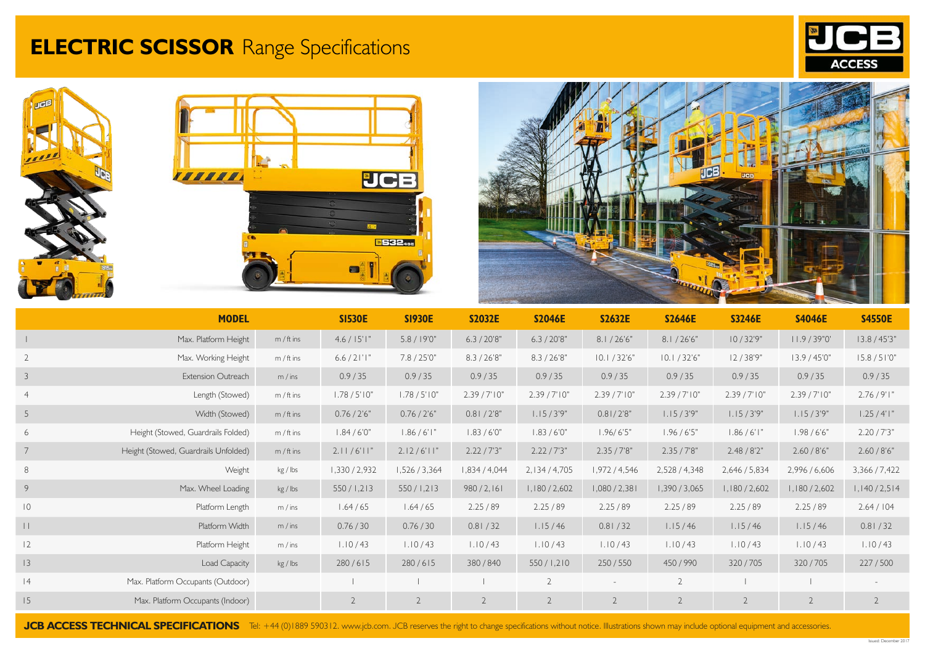## **ELECTRIC SCISSOR** Range Specifications









|                | <b>MODEL</b>                         |              | <b>SI530E</b>   | <b>SI930E</b>   | <b>S2032E</b>  | <b>S2046E</b>  | <b>S2632E</b>  | <b>S2646E</b>  | <b>S3246E</b>  | <b>S4046E</b>  | <b>S4550E</b>  |
|----------------|--------------------------------------|--------------|-----------------|-----------------|----------------|----------------|----------------|----------------|----------------|----------------|----------------|
|                | Max. Platform Height                 | $m / ft$ ins | $4.6 / 15$ ' l" | 5.8 / 19'0''    | 6.3 / 20'8"    | 6.3 / 20'8"    | 8.1 / 26'6''   | 8.1 / 26'6''   | 10/32'9"       | 11.9 / 39"0'   | 13.8 / 45'3"   |
| $\overline{2}$ | Max. Working Height                  | $m / ft$ ins | $6.6 / 2$  ' "  | 7.8 / 25'0''    | 8.3 / 26'8''   | 8.3 / 26'8''   | 10.1 / 32'6''  | 10.1 / 32'6''  | 12/38'9"       | 13.9 / 45'0''  | 15.8 / 51'0''  |
| 3              | Extension Outreach                   | m / ins      | 0.9/35          | 0.9 / 35        | 0.9 / 35       | 0.9 / 35       | 0.9 / 35       | 0.9/35         | 0.9 / 35       | 0.9/35         | 0.9 / 35       |
| $\overline{4}$ | Length (Stowed)                      | $m / ft$ ins | 1.78 / 5'10''   | 1.78 / 5'10''   | 2.39 / 7'10''  | 2.39 / 7' 10'' | 2.39 / 7' 10'' | 2.39 / 7' 10'' | 2.39 / 7' 10'' | 2.39 / 7' 10'' | 2.76/9'1"      |
| 5              | Width (Stowed)                       | $m / ft$ ins | 0.76 / 2'6"     | 0.76 / 2'6"     | 0.81 / 2'8''   | 1.15/3'9"      | 0.81/2'8"      | 1.15/3'9"      | 1.15/3'9"      | 1.15/3'9"      | 1.25 / 4'1''   |
| 6              | Height (Stowed, Guardrails Folded)   | $m / ft$ ins | 1.84 / 6'0''    | 1.86 / 6'1''    | 1.83 / 6'0''   | 1.83 / 6'0''   | 1.96/6'5"      | 1.96 / 6'5"    | 1.86 / 6'1''   | 1.98 / 6'6"    | 2.20 / 7'3"    |
|                | Height (Stowed, Guardrails Unfolded) | $m / ft$ ins | 2.11/6'11''     | $2.12/6'$ l $"$ | 2.22 / 7'3"    | 2.22 / 7'3"    | 2.35 / 7'8"    | 2.35 / 7'8"    | 2.48 / 8'2"    | 2.60 / 8'6"    | 2.60 / 8'6"    |
| 8              | Weight                               | kg / Ibs     | 1,330/2,932     | 1,526/3,364     | 1,834 / 4,044  | 2,134/4,705    | 1,972/4,546    | 2,528 / 4,348  | 2,646 / 5,834  | 2,996 / 6,606  | 3,366/7,422    |
| 9              | Max. Wheel Loading                   | kg / lbs     | 550/1,213       | 550/1,213       | 980 / 2, 161   | 1,180/2,602    | 1,080 / 2,381  | 1,390/3,065    | 1,180/2,602    | 1,180/2,602    | 1,140/2,514    |
| $\overline{0}$ | Platform Length                      | m / ins      | 1.64/65         | 1.64 / 65       | 2.25/89        | 2.25/89        | 2.25/89        | 2.25/89        | 2.25/89        | 2.25/89        | 2.64 / 104     |
| $\vert \vert$  | Platform Width                       | m / ins      | 0.76 / 30       | 0.76 / 30       | 0.81 / 32      | 1.15/46        | 0.81 / 32      | 1.15/46        | 1.15/46        | 1.15/46        | 0.81 / 32      |
| 2              | Platform Height                      | m / ins      | 1.10/43         | 1.10 / 43       | 1.10/43        | 1.10/43        | 1.10/43        | 1.10/43        | 1.10 / 43      | 1.10/43        | 1.10 / 43      |
| 3              | Load Capacity                        | kg / lbs     | 280/615         | 280/615         | 380/840        | 550/1,210      | 250/550        | 450/990        | 320/705        | 320/705        | 227/500        |
| 4              | Max. Platform Occupants (Outdoor)    |              |                 |                 |                | $\overline{2}$ |                | $\overline{2}$ |                |                |                |
| 15             | Max. Platform Occupants (Indoor)     |              | 2               | $\overline{2}$  | $\overline{2}$ | $\overline{2}$ | $\overline{2}$ | $\overline{2}$ | $\overline{2}$ | $\overline{2}$ | $\overline{2}$ |

JCB ACCESS TECHNICAL SPECIFICATIONS Tel: +44 (0)1889 590312. www.jcb.com. JCB reserves the right to change specifications without notice. Illustrations shown may include optional equipment and accessories.